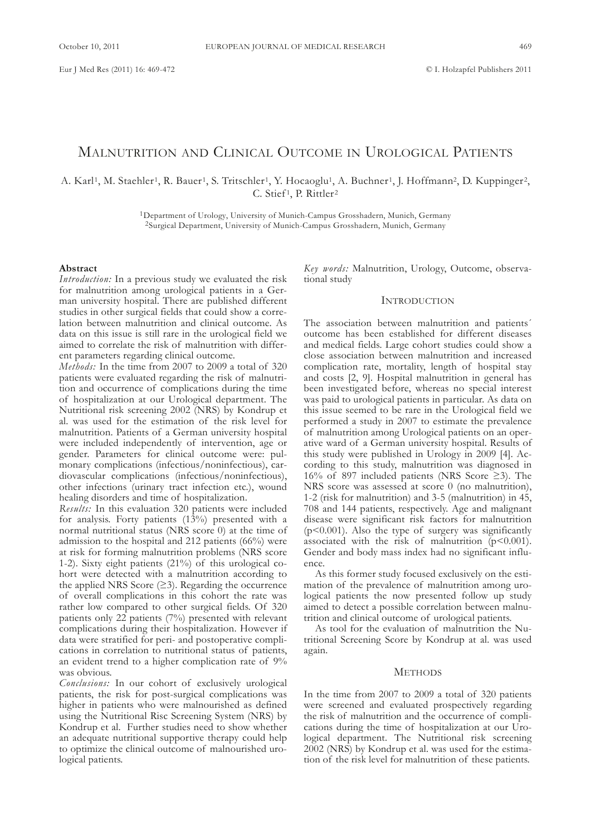# MALNUTRITION AND CLINICAL OUTCOME IN UROLOGICAL PATIENTS

A. Karl<sup>1</sup>, M. Staehler<sup>1</sup>, R. Bauer<sup>1</sup>, S. Tritschler<sup>1</sup>, Y. Hocaoglu<sup>1</sup>, A. Buchner<sup>1</sup>, J. Hoffmann<sup>2</sup>, D. Kuppinger<sup>2</sup>, C. Stief<sup>1</sup>, P. Rittler<sup>2</sup>

> <sup>1</sup>Department of Urology, University of Munich-Campus Grosshadern, Munich, Germany <sup>2</sup>Surgical Department, University of Munich-Campus Grosshadern, Munich, Germany

#### **Abstract**

*Introduction:* In a previous study we evaluated the risk for malnutrition among urological patients in a German university hospital. There are published different studies in other surgical fields that could show a correlation between malnutrition and clinical outcome. As data on this issue is still rare in the urological field we aimed to correlate the risk of malnutrition with different parameters regarding clinical outcome.

*Methods:* In the time from 2007 to 2009 a total of 320 patients were evaluated regarding the risk of malnutrition and occurrence of complications during the time of hospitalization at our Urological department. The Nutritional risk screening 2002 (NRS) by Kondrup et al. was used for the estimation of the risk level for malnutrition. Patients of a German university hospital were included independently of intervention, age or gender. Parameters for clinical outcome were: pulmonary complications (infectious/noninfectious), cardiovascular complications (infectious/noninfectious), other infections (urinary tract infection etc.), wound healing disorders and time of hospitalization.

*Results:* In this evaluation 320 patients were included for analysis. Forty patients  $(13%)$  presented with a normal nutritional status (NRS score 0) at the time of admission to the hospital and 212 patients (66%) were at risk for forming malnutrition problems (NRS score 1-2). sixty eight patients (21%) of this urological cohort were detected with a malnutrition according to the applied NRS Score  $(≥3)$ . Regarding the occurrence of overall complications in this cohort the rate was rather low compared to other surgical fields. of 320 patients only 22 patients (7%) presented with relevant complications during their hospitalization. However if data were stratified for peri- and postoperative complications in correlation to nutritional status of patients, an evident trend to a higher complication rate of 9% was obvious.

*Conclusions:* In our cohort of exclusively urological patients, the risk for post-surgical complications was higher in patients who were malnourished as defined using the Nutritional Risc Screening System (NRS) by Kondrup et al. Further studies need to show whether an adequate nutritional supportive therapy could help to optimize the clinical outcome of malnourished urological patients.

Key words: Malnutrition, Urology, Outcome, observational study

## **INTRODUCTION**

The association between malnutrition and patients' outcome has been established for different diseases and medical fields. large cohort studies could show a close association between malnutrition and increased complication rate, mortality, length of hospital stay and costs [2, 9]. Hospital malnutrition in general has been investigated before, whereas no special interest was paid to urological patients in particular. As data on this issue seemed to be rare in the Urological field we performed a study in 2007 to estimate the prevalence of malnutrition among Urological patients on an operative ward of a german university hospital. Results of this study were published in Urology in  $2009$  [4]. According to this study, malnutrition was diagnosed in 16% of 897 included patients (NRS Score  $\geq$ 3). The NRS score was assessed at score 0 (no malnutrition), 1-2 (risk for malnutrition) and 3-5 (malnutrition) in 45, 708 and 144 patients, respectively. Age and malignant disease were significant risk factors for malnutrition ( $p$ <0.001). Also the type of surgery was significantly associated with the risk of malnutrition  $(p<0.001)$ . Gender and body mass index had no significant influence.

As this former study focused exclusively on the estimation of the prevalence of malnutrition among urological patients the now presented follow up study aimed to detect a possible correlation between malnutrition and clinical outcome of urological patients.

As tool for the evaluation of malnutrition the Nutritional screening score by Kondrup at al. was used again.

### **METHODS**

In the time from 2007 to 2009 a total of 320 patients were screened and evaluated prospectively regarding the risk of malnutrition and the occurrence of complications during the time of hospitalization at our Urological department. The Nutritional risk screening 2002 (nRs) by Kondrup et al. was used for the estimation of the risk level for malnutrition of these patients.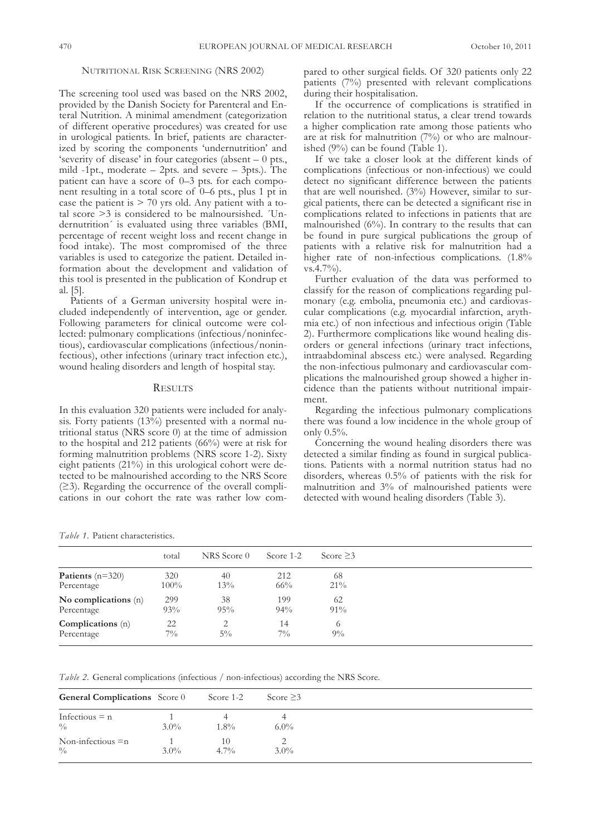## NUTRITIONAL RISK SCREENING (NRS 2002)

The screening tool used was based on the NRS 2002, provided by the Danish Society for Parenteral and Enteral Nutrition. A minimal amendment (categorization of different operative procedures) was created for use in urological patients. In brief, patients are characterized by scoring the components 'undernutrition' and 'severity of disease' in four categories (absent – 0 pts., mild  $-1pt$ , moderate  $-2pts$ . and severe  $-3pts$ . The patient can have a score of 0–3 pts. for each component resulting in a total score of 0–6 pts., plus 1 pt in case the patient is  $> 70$  yrs old. Any patient with a total score  $\geq$ 3 is considered to be malnoursished.  $Un$ dernutrition´ is evaluated using three variables (BMI, percentage of recent weight loss and recent change in food intake). The most compromised of the three variables is used to categorize the patient. Detailed information about the development and validation of this tool is presented in the publication of Kondrup et al. [5].

Patients of a German university hospital were included independently of intervention, age or gender. Following parameters for clinical outcome were collected: pulmonary complications (infectious/noninfectious), cardiovascular complications (infectious/noninfectious), other infections (urinary tract infection etc.), wound healing disorders and length of hospital stay.

### **RESULTS**

In this evaluation 320 patients were included for analysis. Forty patients  $(13\%)$  presented with a normal nutritional status (nRs score 0) at the time of admission to the hospital and 212 patients (66%) were at risk for forming malnutrition problems (NRS score 1-2). Sixty eight patients (21%) in this urological cohort were detected to be malnourished according to the NRS Score (≥3). Regarding the occurrence of the overall complications in our cohort the rate was rather low compared to other surgical fields. of 320 patients only 22 patients (7%) presented with relevant complications during their hospitalisation.

If the occurrence of complications is stratified in relation to the nutritional status, a clear trend towards a higher complication rate among those patients who are at risk for malnutrition (7%) or who are malnourished  $(9\%)$  can be found (Table 1).

If we take a closer look at the different kinds of complications (infectious or non-infectious) we could detect no significant difference between the patients that are well nourished. (3%) However, similar to surgical patients, there can be detected a significant rise in complications related to infections in patients that are malnourished  $(6\%)$ . In contrary to the results that can be found in pure surgical publications the group of patients with a relative risk for malnutrition had a higher rate of non-infectious complications. (1.8% vs.4.7%).

Further evaluation of the data was performed to classify for the reason of complications regarding pulmonary (e.g. embolia, pneumonia etc.) and cardiovascular complications (e.g. myocardial infarction, arythmia etc.) of non infectious and infectious origin (Table 2). Furthermore complications like wound healing disorders or general infections (urinary tract infections, intraabdominal abscess etc.) were analysed. Regarding the non-infectious pulmonary and cardiovascular complications the malnourished group showed a higher incidence than the patients without nutritional impairment.

Regarding the infectious pulmonary complications there was found a low incidence in the whole group of only 0.5%.

Concerning the wound healing disorders there was detected a similar finding as found in surgical publications. Patients with a normal nutrition status had no disorders, whereas 0.5% of patients with the risk for malnutrition and 3% of malnourished patients were detected with wound healing disorders (Table 3).

*Table 1.* Patient characteristics.

|                        | total   | NRS Score 0 | Score 1-2 | Score $\geq$ 3 |
|------------------------|---------|-------------|-----------|----------------|
| Patients $(n=320)$     | 320     | 40          | 212       | 68             |
| Percentage             | $100\%$ | 13%         | $66\%$    | $21\%$         |
| No complications $(n)$ | 299     | 38          | 199       | 62             |
| Percentage             | 93%     | 95%         | 94%       | $91\%$         |
| Complications (n)      | 22      | 2           | 14        | 6              |
| Percentage             | $7\%$   | $5\%$       | $7\%$     | $9\%$          |

*Table* 2. General complications (infectious / non-infectious) according the NRS Score.

| <b>General Complications</b> Score 0 |         | Score 1-2     | Score $\geq$ 3 |
|--------------------------------------|---------|---------------|----------------|
| Infectious $= n$<br>$^{0}/_{0}$      | $3.0\%$ | $1.8\%$       | $6.0\%$        |
| Non-infectious $=n$<br>$\frac{0}{0}$ | $3.0\%$ | 10<br>$4.7\%$ | $3.0\%$        |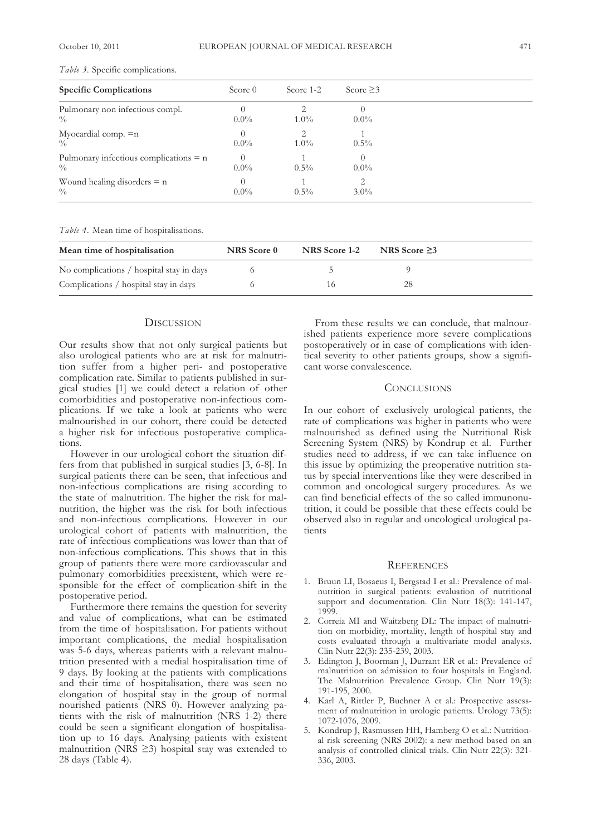| <b>Specific Complications</b>                           | Score $0$                   | Score 1-2                                                                                                                                                                                                                                                                                                                                                                                                                                            | Score $\geq$ 3      |
|---------------------------------------------------------|-----------------------------|------------------------------------------------------------------------------------------------------------------------------------------------------------------------------------------------------------------------------------------------------------------------------------------------------------------------------------------------------------------------------------------------------------------------------------------------------|---------------------|
| Pulmonary non infectious compl.<br>$\frac{0}{0}$        | $0.0\%$                     | $1.0\%$                                                                                                                                                                                                                                                                                                                                                                                                                                              | $\theta$<br>$0.0\%$ |
| Myocardial comp. $=n$<br>0/0                            | $\theta$<br>$0.0\%$         | $\mathfrak{D}_{\mathfrak{D}_{\mathfrak{D}}}^{\mathfrak{D}_{\mathfrak{D}}}(\mathfrak{D}_{\mathfrak{D}})_{\mathfrak{D}}^{\mathfrak{D}}(\mathfrak{D}_{\mathfrak{D}})_{\mathfrak{D}}^{\mathfrak{D}}(\mathfrak{D}_{\mathfrak{D}})_{\mathfrak{D}}^{\mathfrak{D}}(\mathfrak{D}_{\mathfrak{D}})_{\mathfrak{D}}^{\mathfrak{D}}(\mathfrak{D}_{\mathfrak{D}})_{\mathfrak{D}}^{\mathfrak{D}}(\mathfrak{D}_{\mathfrak{D}})_{\mathfrak{D}}^{\mathfrak{$<br>$1.0\%$ | $0.5\%$             |
| Pulmonary infectious complications $= n$<br>$^{0}/_{0}$ | $\left( \right)$<br>$0.0\%$ | $0.5\%$                                                                                                                                                                                                                                                                                                                                                                                                                                              | $\Omega$<br>$0.0\%$ |
| Wound healing disorders $= n$<br>$\frac{0}{0}$          | $0.0\%$                     | $0.5\%$                                                                                                                                                                                                                                                                                                                                                                                                                                              | 2<br>$3.0\%$        |

*Table 3.* specific complications.

*Table 4.* Mean time of hospitalisations.

| Mean time of hospitalisation             | NRS Score 0 | NRS Score 1-2                 | NRS Score $\geq$ 3 |
|------------------------------------------|-------------|-------------------------------|--------------------|
| No complications / hospital stay in days |             |                               |                    |
| Complications / hospital stay in days    |             | $\overline{1}$ $\overline{0}$ | 28                 |

### **DISCUSSION**

Our results show that not only surgical patients but also urological patients who are at risk for malnutrition suffer from a higher peri- and postoperative complication rate. similar to patients published in surgical studies [1] we could detect a relation of other comorbidities and postoperative non-infectious complications. If we take a look at patients who were malnourished in our cohort, there could be detected a higher risk for infectious postoperative complications.

However in our urological cohort the situation differs from that published in surgical studies [3, 6-8]. In surgical patients there can be seen, that infectious and non-infectious complications are rising according to the state of malnutrition. The higher the risk for malnutrition, the higher was the risk for both infectious and non-infectious complications. However in our urological cohort of patients with malnutrition, the rate of infectious complications was lower than that of non-infectious complications. this shows that in this group of patients there were more cardiovascular and pulmonary comorbidities preexistent, which were responsible for the effect of complication-shift in the postoperative period.

Furthermore there remains the question for severity and value of complications, what can be estimated from the time of hospitalisation. For patients without important complications, the medial hospitalisation was 5-6 days, whereas patients with a relevant malnutrition presented with a medial hospitalisation time of 9 days. By looking at the patients with complications and their time of hospitalisation, there was seen no elongation of hospital stay in the group of normal nourished patients (NRS 0). However analyzing patients with the risk of malnutrition (NRS 1-2) there could be seen a significant elongation of hospitalisation up to 16 days. Analysing patients with existent malnutrition (NRS  $\geq$ 3) hospital stay was extended to 28 days (Table 4).

From these results we can conclude, that malnourished patients experience more severe complications postoperatively or in case of complications with identical severity to other patients groups, show a significant worse convalescence.

# **CONCLUSIONS**

In our cohort of exclusively urological patients, the rate of complications was higher in patients who were malnourished as defined using the Nutritional Risk Screening System (NRS) by Kondrup et al. Further studies need to address, if we can take influence on this issue by optimizing the preoperative nutrition status by special interventions like they were described in common and oncological surgery procedures. As we can find beneficial effects of the so called immunonutrition, it could be possible that these effects could be observed also in regular and oncological urological patients

#### **REFERENCES**

- 1. Bruun lI, Bosaeus I, Bergstad I et al.: Prevalence of malnutrition in surgical patients: evaluation of nutritional support and documentation. Clin Nutr 18(3): 141-147, 1999.
- 2. Correia MI and Waitzberg DL: The impact of malnutrition on morbidity, mortality, length of hospital stay and costs evaluated through a multivariate model analysis. Clin Nutr 22(3): 235-239, 2003.
- 3. Edington J, Boorman J, Durrant ER et al.: Prevalence of malnutrition on admission to four hospitals in England. The Malnutrition Prevalence Group. Clin Nutr 19(3): 191-195, 2000.
- 4. Karl A, Rittler P, Buchner A et al.: Prospective assessment of malnutrition in urologic patients. Urology 73(5): 1072-1076, 2009.
- 5. Kondrup J, Rasmussen HH, Hamberg O et al.: Nutritional risk screening (nRs 2002): a new method based on an analysis of controlled clinical trials. Clin Nutr 22(3): 321-336, 2003.